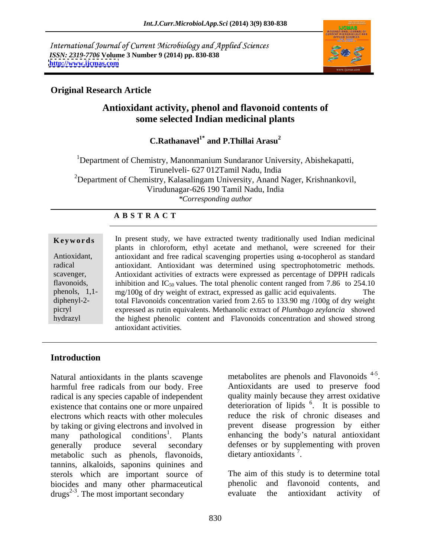International Journal of Current Microbiology and Applied Sciences *ISSN: 2319-7706* **Volume 3 Number 9 (2014) pp. 830-838 <http://www.ijcmas.com>**



### **Original Research Article**

# **Antioxidant activity, phenol and flavonoid contents of some selected Indian medicinal plants**

**C.Rathanavel1\* and P.Thillai Arasu<sup>2</sup>**

<sup>1</sup>Department of Chemistry, Manonmanium Sundaranor University, Abishekapatti, Tirunelveli- 627 012Tamil Nadu, India <sup>2</sup>Department of Chemistry, Kalasalingam University, Anand Nager, Krishnankovil, Virudunagar-626 190 Tamil Nadu, India *\*Corresponding author* 

### **A B S T R A C T**

**Keywords** In present study, we have extracted twenty traditionally used Indian medicinal Antioxidant, antioxidant and free radical scavenging properties using  $\alpha$ -tocopherol as standard radical antioxidant. Antioxidant was determined using spectrophotometric methods. scavenger, Antioxidant activities of extracts were expressed as percentage of DPPH radicals flavonoids, inhibition and  $IC_{50}$  values. The total phenolic content ranged from 7.86 to 254.10 phenols, 1,1- mg/100g of dry weight of extract, expressed as gallic acid equivalents. The diphenyl-2- total Flavonoids concentration varied from 2.65 to 133.90 mg /100g of dry weight picryl expressed as rutin equivalents. Methanolic extract of *Plumbago zeylancia* showed hydrazyl the highest phenolic content and Flavonoids concentration and showed strong plants in chloroform, ethyl acetate and methanol, were screened for their antioxidant activities.

# **Introduction**

Natural antioxidants in the plants scavenge metabolities are phenols and Flavonoids <sup>4-3</sup>.<br>harmful free radicals from our body. Free Antioxidants are used to preserve food harmful free radicals from our body. Free radical is any species capable of independent existence that contains one or more unpaired  $\frac{d}{dt}$  deterioration of lipids  $\frac{6}{t}$ . It is possible to electrons which reacts with other molecules by taking or giving electrons and involved in many pathological conditions<sup>1</sup>. Plants enhancing the body's natural antioxidant generally produce several secondary defenses or by supplementing with proven metabolic such as phenols, flavonoids, dietary antioxidants<sup>7</sup>. tannins, alkaloids, saponins quinines and sterols which are important source of The aim of the biocides and many other pharmaceutical phenolic biocides and many other pharmaceutical phenolic and flavonoid contents, and drugs<sup>2-3</sup> The most important secondary evaluate the antioxidant activity of  $d{\rm rugs}^{2-3}$ . The most important secondary evaluate the antioxidant activity of

metabolites are phenols and Flavonoids<sup>4-5</sup>. 4-5 metabolites are phenols and Flavonoids<sup>4-5</sup>.<br>Antioxidants are used to preserve food quality mainly because they arrest oxidative . It is possible to reduce the risk of chronic diseases and prevent disease progression by either dietary antioxidants<sup>7</sup>. . The contract of the contract of the contract of the contract of the contract of the contract of the contract<br>The contract of the contract of the contract of the contract of the contract of the contract of the contract o

The aim of this study is to determine total phenolic and flavonoid contents, and evaluate the antioxidant activity of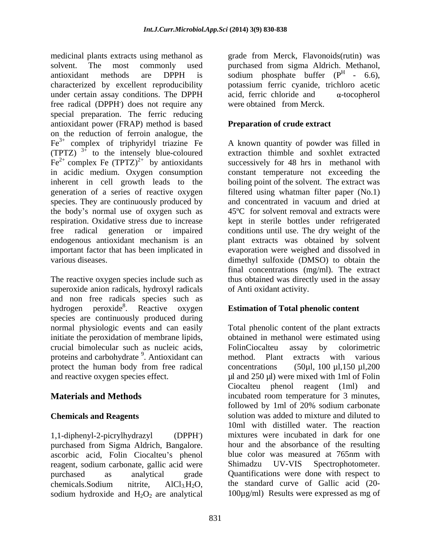medicinal plants extracts using methanol as grade from Merck, Flavonoids(rutin) was solvent. The most commonly used purchased from sigma Aldrich. Methanol, antioxidant methods are DPPH is sodium phosphate buffer  $(P<sup>H</sup> - 6.6)$ , characterized by excellent reproducibility potassium ferric cyanide, trichloro acetic under certain assay conditions. The DPPH  $\qquad$  acid, ferric chloride and  $\qquad$  a-tocopherol free radical (DPPH<sup>'</sup>) does not require any special preparation. The ferric reducing antioxidant power (FRAP) method is based on the reduction of ferroin analogue, the  $Fe<sup>3+</sup>$  complex of triphyridyl triazine Fe (TPTZ)  $3^{\frac{1}{2}}$  to the intensely blue-coloured  $Fe^{2+}$  complex Fe (TPTZ)<sup>2+</sup> by antioxidants successively for 48 hrs in methanol with in acidic medium. Oxygen consumption constant temperature not exceeding the inherent in cell growth leads to the boiling point of the solvent. The extract was generation of a series of reactive oxygen filtered using whatman filter paper (No.1) species. They are continuously produced by and concentrated in vacuum and dried at the body's normal use of oxygen such as respiration. Oxidative stress due to increase kept in sterile bottles under refrigerated free radical generation or impaired conditions until use. The dry weight of the endogenous antioxidant mechanism is an plant extracts was obtained by solvent important factor that has been implicated in evaporation were weighed and dissolved in various diseases. dimethyl sulfoxide (DMSO) to obtain the

The reactive oxygen species include such as thus obtained was directly used in the assay superoxide anion radicals, hydroxyl radicals and non free radicals species such as hydrogen peroxide<sup>8</sup>. Reactive oxygen species are continuously produced during crucial bimolecular such as nucleic acids, proteins and carbohydrate <sup>9</sup>. Antioxidant can method. Plant extracts with various protect the human body from free radical concentrations (50 $\mu$ l, 100  $\mu$ l, 150  $\mu$ l, 200

purchased from Sigma Aldrich, Bangalore. ascorbic acid, Folin Ciocalteu's phenol reagent, sodium carbonate, gallic acid were Shimadzu UV-VIS Spectrophotometer. sodium hydroxide and  $H_2O_2$  are analytical

**.**) does not require any acid, ferric chloride and  $\alpha$ -tocopherol were obtained from Merck.

# **Preparation of crude extract**

to the intensely blue-coloured extraction thimble and soxhlet extracted A known quantity of powder was filled in successively for 48 hrs in methanol with 45ºC for solvent removal and extracts were final concentrations (mg/ml). The extract of Anti oxidant activity.

# . Reactive oxygen **Estimation of Total phenolic content**

normal physiologic events and can easily Total phenolic content of the plant extracts initiate the peroxidation of membrane lipids, botained in methanol were estimated using Antioxidant can method. Plant extracts with various and reactive oxygen species effect.  $\mu$ l and 250  $\mu$ ) were mixed with 1ml of Folin **Materials and Methods incubated room temperature for 3 minutes, Chemicals and Reagents** solution was added to mixture and diluted to 1,1-diphenyl-2-picrylhydrazyl (DPPH **.**) mixtures were incubated in dark for one purchased as analytical grade Quantifications were done with respect to chemicals.Sodium nitrite,  $AICI_3H_2O$ , the standard curve of Gallic acid (20-FolinCiocalteu assay by colorimetric method. Plant extracts with various concentrations  $(50\mu l, 100 \mu l, 150 \mu l, 200$ Ciocalteu phenol reagent (1ml) and followed by 1ml of 20% sodium carbonate 10ml with distilled water. The reaction hour and the absorbance of the resulting blue color was measured at 765nm with Shimadzu UV-VIS Spectrophotometer. the standard curve of Gallic acid (20- 100µg/ml) Results were expressed as mg of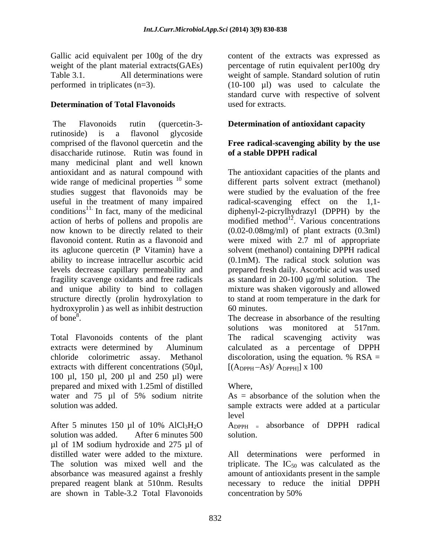Gallic acid equivalent per 100g of the dry

### **Determination of Total Flavonoids**

The Flavonoids rutin (quercetin-3- **Determination of antioxidant capacity** rutinoside) is a flavonol glycoside comprised of the flavonol quercetin and the **Free radical-scavenging ability by the use** disaccharide rutinose. Rutin was found in many medicinal plant and well known antioxidant and as natural compound with The antioxidant capacities of the plants and wide range of medicinal properties <sup>10</sup> some studies suggest that flavonoids may be studies suggest that flavonoids may be were studied by the evaluation of the free useful in the treatment of many impaired radical-scavenging effect on the 1,1 conditions<sup>11.</sup> In fact, many of the medicinal action of herbs of pollens and propolis are now known to be directly related to their (0.02-0.08mg/ml) of plant extracts (0.3ml) flavonoid content. Rutin as a flavonoid and were mixed with 2.7 ml of appropriate its aglucone quercetin (P Vitamin) have a ability to increase intracellur ascorbic acid (0.1mM). The radical stock solution was levels decrease capillary permeability and prepared fresh daily. Ascorbic acid was used fragility scavenge oxidants and free radicals as standard in 20-100  $\mu$ g/ml solution. The and unique ability to bind to collagen structure directly (prolin hydroxylation to to stand at room temperature in the dark for hydroxyprolin ) as well as inhibit destruction 60 minutes. of bone<sup>8</sup>. The decrease in absorbance of the resulting

Total Flavonoids contents of the plant chloride colorimetric assay. Methanol discoloration, using the equation. % RSA = extracts with different concentrations (50µl, 100 µl, 150 µl, 200 µl and 250 µl) were prepared and mixed with 1.25ml of distilled water and 75  $\mu$ l of 5% sodium nitrite As = absorbance of the solution when the solution was added. Solution was added at a particular

After 5 minutes 150 µl of 10% AlCl<sub>3</sub>H<sub>2</sub>O  $\rightarrow$  A<sub>DPPH</sub> = absorbance of DPPH radical solution was added. After 6 minutes 500 solution. µl of 1M sodium hydroxide and 275 µl of absorbance was measured against a freshly are shown in Table-3.2 Total Flavonoids

weight of the plant material extracts(GAEs) percentage of rutin equivalent per100g dry Table 3.1. All determinations were weight of sample. Standard solution of rutin performed in triplicates  $(n=3)$ . (10-100  $\mu$ I) was used to calculate the content of the extracts was expressed as standard curve with respective of solvent used for extracts.

# **of a stable DPPH radical**

some different parts solvent extract (methanol) diphenyl-2-picrylhydrazyl (DPPH) by the modified method<sup>12</sup>. Various concentrations solvent (methanol) containing DPPH radical mixture was shaken vigorously and allowed 60 minutes.

extracts were determined by Aluminum calculated as a percentage of DPPH solutions was monitored at 517nm. The radical scavenging activity was discoloration, using the equation.  $%$  RSA =  $[(A_{\text{DPPH}}-As)/A_{\text{DPPH}}] \times 100$ 

### Where,

 $As = absorbance$  of the solution when the sample extracts were added at <sup>a</sup> particular level

 $A_{\text{DPPH}}$  = absorbance of DPPH radical solution.

distilled water were added to the mixture. All determinations were performed in The solution was mixed well and the triplicate. The  $IC_{50}$  was calculated as the prepared reagent blank at 510nm. Results necessary to reduce the initial DPPH amount of antioxidants present in the sample concentration by 50%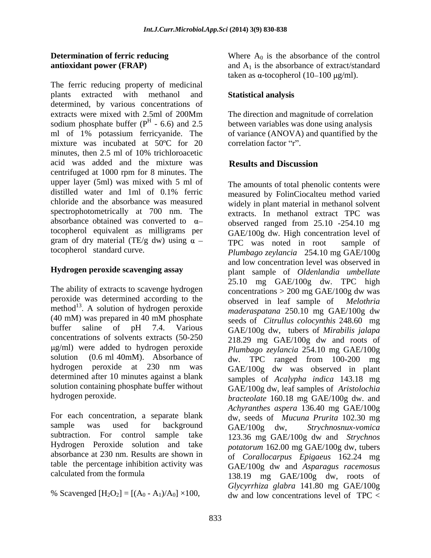The ferric reducing property of medicinal plants extracted with methanol and determined, by various concentrations of extracts were mixed with 2.5ml of 200Mm sodium phosphate buffer ( $P^H$  - 6.6) and 2.5 ml of 1% potassium ferricyanide. The mixture was incubated at 50°C for 20 correlation factor "r". minutes, then 2.5 ml of 10% trichloroacetic acid was added and the mixture was **Results and Discussion** centrifuged at 1000 rpm for 8 minutes. The upper layer (5ml) was mixed with 5 ml of chloride and the absorbance was measured spectrophotometrically at 700 nm. The tocopherol equivalent as milligrams per gram of dry material (TE/g dw) using  $\alpha$  – TPC was noted in root sample of

### **Hydrogen peroxide scavenging assay**

The ability of extracts to scavenge hydrogen peroxide was determined according to the observed in leaf sample of *Melothria* method<sup>13</sup>. A solution of hydrogen peroxide concentrations of solvents extracts (50-250 g/ml) were added to hydrogen peroxide hydrogen peroxide at 230 nm was determined after 10 minutes against a blank solution containing phosphate buffer without

For each concentration, a separate blank Hydrogen Peroxide solution and take absorbance at 230 nm. Results are shown in table the percentage inhibition activity was

**Determination of ferric reducing** Where A<sub>0</sub> is the absorbance of the control **antioxidant power (FRAP)** and A<sub>1</sub> is the absorbance of extract/standard taken as  $\alpha$ -tocopherol (10–100  $\mu$ g/ml).

### **Statistical analysis**

- 6.6) and 2.5 between variables was done using analysis The direction and magnitude of correlation of variance (ANOVA) and quantified by the correlation factor "r".

### **Results and Discussion**

distilled water and 1ml of 0.1% ferric measured by FolinCiocalteu method varied absorbance obtained was converted to  $\alpha$  - observed ranged from 25.10 -254.10 mg tocopherol standard curve. *Plumbago zeylancia* 254.10 mg GAE/100g . A solution of hydrogen peroxide *maderaspatana* 250.10 mg GAE/100g dw (40 mM) was prepared in 40 mM phosphate seeds of *Citrullus colocynthis* 248.60 mg buffer saline of pH 7.4. Various GAE/100g dw, tubers of *Mirabilis jalapa* solution (0.6 ml 40mM). Absorbance of dw. TPC ranged from 100-200 mg hydrogen peroxide. *bracteolate* 160.18 mg GAE/100g dw. and sample was used for background  $GAF/100g$  dw. Strychnosnux-vomica subtraction. For control sample take 123.36 mg GAE/100g dw and *Strychnos*  calculated from the formula 138.19 mg GAE/100g dw, roots of % Scavenged  $[H_2O_2] = [(A_0 - A_1)/A_0] \times 100$ , dw and low concentrations level of TPC < The amounts of total phenolic contents were measured by FolinCiocalteu method varied widely in plant material in methanol solvent extracts. In methanol extract TPC was GAE/100g dw*.* High concentration level of TPC was noted in root sample of and low concentration level was observed in plant sample of *Oldenlandia umbellate* 25.10 mg GAE/100g dw. TPC high concentrations  $> 200$  mg GAE/100g dw was observed in leaf sample of seeds of *Citrullus colocynthis* 248.60 mg 218.29 mg GAE/100g dw and roots of *Plumbago zeylancia* 254.10 mg GAE/100g GAE/100g dw was observed in plant samples of *Acalypha indica* 143.18 mg GAE/100g dw, leaf samples of *Aristolochia Achyranthes aspera* 136.40 mg GAE/100g dw, seeds of *Mucuna Prurita* 102.30 mg GAE/100g dw, *Strychnosnux-vomica potatorum* 162.00 mg GAE/100g dw, tubers of *Corallocarpus Epigaeus* 162.24 mg GAE/100g dw and *Asparagus racemosus Glycyrrhiza glabra* 141.80 mg GAE/100g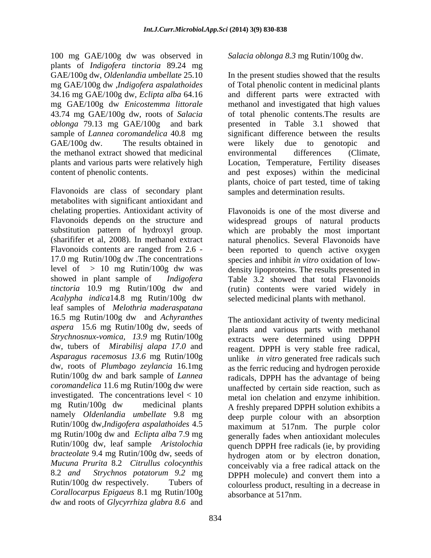100 mg GAE/100g dw was observed in *Salacia oblonga 8.3* mg Rutin/100g dw. plants of *Indigofera tinctoria* 89.24 mg GAE/100g dw, *Oldenlandia umbellate* 25.10 *oblonga* 79.13 mg GAE/100g and bark the methanol extract showed that medicinal

Flavonoids are class of secondary plant metabolites with significant antioxidant and chelating properties. Antioxidant activity of<br>Flavonoids depends on the structure and *tinctoria* 10.9 mg Rutin/100g dw and *Acalypha indica*14.8 mg Rutin/100g dw leaf samples of *Melothria maderaspatana* 16.5 mg Rutin/100g dw and *Achyranthes aspera* 15.6 mg Rutin/100g dw, seeds of *Strychnosnux-vomica, 13.9* mg Rutin/100g dw, tubers of *Mirabilisj alapa 17.0* and *Asparagus racemosus 13.6* mg Rutin/100g dw, roots of *Plumbago zeylancia* 16.1mg Rutin/100g dw and bark sample of *Lannea coromandelica* 11.6 mg Rutin/100g dw were investigated. The concentrations level < 10 namely *Oldenlandia umbellate* 9.8 mg Rutin/100g dw,*Indigofera aspalathoides* 4.5 mg Rutin/100g dw and *Eclipta alba* 7.9 mg *bracteolate* 9.4 mg Rutin/100g dw, seeds of 8.2 *and Strychnos potatorum 9.2* mg *Corallocarpus Epigaeus* 8.1 mg Rutin/100g dw and roots of *Glycyrrhiza glabra 8.6* and

mg GAE/100g dw ,*Indigofera aspalathoides* of Total phenolic content in medicinal plants 34.16 mg GAE/100g dw, *Eclipta alba* 64.16 and different parts were extracted with mg GAE/100g dw *Enicostemma littorale* methanol and investigated that high values 43.74 mg GAE/100g dw, roots of *Salacia* of total phenolic contents.The results are sample of *Lannea coromandelica* 40.8 mg significant difference between the results GAE/100g dw. The results obtained in were likely due to genotopic and plants and various parts were relatively high Location, Temperature, Fertility diseases content of phenolic contents. and pest exposes) within the medicinal In the present studies showed that the results presented in Table 3.1 showed that were likely due to genotopic and environmental differences (Climate, plants, choice of part tested, time of taking samples and determination results.

Flavonoids depends on the structure and widespread groups of natural products substitution pattern of hydroxyl group. which are probably the most important (sharififer et al, 2008). In methanol extract natural phenolics. Several Flavonoids have Flavonoids contents are ranged from 2.6 - been reported to quench active oxygen 17.0 mg Rutin/100g dw .The concentrations species and inhibit *in vitro* oxidation of low level of > 10 mg Rutin/100g dw was density lipoproteins. The results presented in showed in plant sample of *Indigofera*  Table 3.2 showed that total Flavonoids Flavonoids is one of the most diverse and (rutin) contents were varied widely in selected medicinal plants with methanol.

mg Rutin/100g dw medicinal plants A freshly prepared DPPH solution exhibits a Rutin/100g dw, leaf sample *Aristolochia*  quench DPPH free radicals (ie, by providing *Mucuna Prurita* 8.2 *Citrullus colocynthis* conceivably via a free radical attack on the Rutin/100g dw respectively. Tubers of colourless product, resulting in a decrease in The antioxidant activity of twenty medicinal plants and various parts with methanol extracts were determined using DPPH reagent. DPPH is very stable free radical, unlike *in vitro* generated free radicals such as the ferric reducing and hydrogen peroxide radicals, DPPH has the advantage of being unaffected by certain side reaction, such as metal ion chelation and enzyme inhibition. deep purple colour with an absorption maximum at 517nm. The purple color generally fades when antioxidant molecules hydrogen atom or by electron donation, DPPH molecule) and convert them into a absorbance at 517nm.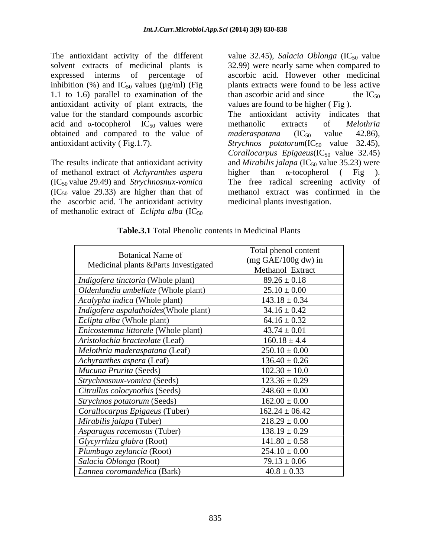The antioxidant activity of the different value 32.45), *Salacia Oblonga* (IC<sub>50</sub> value solvent extracts of medicinal plants is 32.99) were nearly same when compared to expressed interms of percentage of ascorbic acid. However other medicinal inhibition (%) and  $IC_{50}$  values ( $\mu$ g/ml) (Fig 1.1 to 1.6) parallel to examination of the than ascorbic acid and since the  $IC_{50}$ antioxidant activity of plant extracts, the value for the standard compounds ascorbic The antioxidant activity indicates that acid and  $\alpha$ -tocopherol IC<sub>50</sub> values were methanolic extracts of *Melothria* obtained and compared to the value of maderaspatana  $(IC_{50}$  value 42.86),

of methanol extract of *Achyranthes aspera* (IC<sub>50</sub> value 29.49) and *Strychnosnux-vomica* The free radical screening activity of  $(IC_{50}$  value 29.33) are higher than that of the ascorbic acid. The antioxidant activity of methanolic extract of *Eclipta alba*  $(IC_{50})$ 

plants extracts were found to be less active than ascorbic acid and since the  $IC_{50}$ values are found to be higher ( Fig ).

antioxidant activity (Fig.1.7). Strychnos potatorum(IC<sub>50</sub> value 32.45), The results indicate that antioxidant activity and *Mirabilis jalapa* (IC<sub>50</sub> value 35.23) were methanolic extracts of *Melothria*   $maderaspatana$   $(IC_{50}$  value 42.86), *Corallocarpus Epigaeus*( $IC_{50}$  value 32.45) higher than  $\alpha$ -tocopherol (Fig ).<br>The free radical screening activity of methanol extract was confirmed in the medicinal plants investigation.

| <b>Botanical Name of</b><br>Medicinal plants &Parts Investigated | Total phenol content<br>$(mg \text{ GAE}/100g \text{ dw})$ in |
|------------------------------------------------------------------|---------------------------------------------------------------|
|                                                                  | Methanol Extract                                              |
| <i>Indigofera tinctoria</i> (Whole plant)                        | $89.26 \pm 0.18$                                              |
| Oldenlandia umbellate (Whole plant)                              | $25.10 \pm 0.00$                                              |
| <i>Acalypha indica</i> (Whole plant)                             | $143.18 \pm 0.34$                                             |
| <i>Indigofera aspalathoides</i> (Whole plant)                    | $34.16 \pm 0.42$                                              |
| <i>Eclipta alba</i> (Whole plant)                                | $64.16 \pm 0.32$                                              |
| <i>Enicostemma littorale</i> (Whole plant)                       | $43.74 \pm 0.01$                                              |
| Aristolochia bracteolate (Leaf)                                  | $160.18 \pm 4.4$                                              |
| Melothria maderaspatana (Leaf)                                   | $250.10 \pm 0.00$                                             |
| Achyranthes aspera (Leaf)                                        | $136.40 \pm 0.26$                                             |
| Mucuna Prurita (Seeds)                                           | $102.30 \pm 10.0$                                             |
| Strychnosnux-vomica (Seeds)                                      | $123.36 \pm 0.29$                                             |
| Citrullus colocynothis (Seeds)                                   | $248.60 \pm 0.00$                                             |
| <i>Strychnos potatorum</i> (Seeds)                               | $162.00 \pm 0.00$                                             |
| Corallocarpus Epigaeus (Tuber)                                   | $162.24 \pm 06.42$                                            |
| Mirabilis jalapa (Tuber)                                         | $218.29 \pm 0.00$                                             |
| Asparagus racemosus (Tuber)                                      | $138.19 \pm 0.29$                                             |
| Glycyrrhiza glabra (Root)                                        | $141.80 \pm 0.58$                                             |
| Plumbago zeylancia (Root)                                        | $254.10 \pm 0.00$                                             |
| Salacia Oblonga (Root)                                           | $79.13 \pm 0.06$                                              |
| Lannea coromandelica (Bark)                                      | $40.8 \pm 0.33$                                               |

**Table.3.1** Total Phenolic contents in Medicinal Plants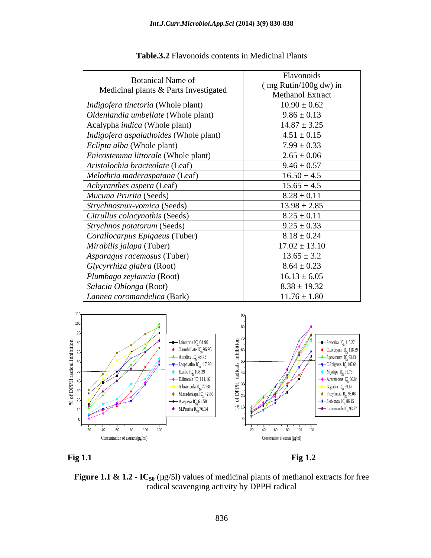| <b>Botanical Name of</b><br>Medicinal plants & Parts Investigated | Flavonoids                          |
|-------------------------------------------------------------------|-------------------------------------|
|                                                                   | $\frac{1}{2}$ (mg Rutin/100g dw) in |
|                                                                   | <b>Methanol Extract</b>             |
| Indigofera tinctoria (Whole plant)                                | $10.90 \pm 0.62$                    |
| Oldenlandia umbellate (Whole plant)                               | $9.86 \pm 0.13$                     |
| Acalypha <i>indica</i> (Whole plant)                              | $14.87 \pm 3.25$                    |
| Indigofera aspalathoides (Whole plant)                            | $4.51 \pm 0.15$                     |
| <i>Eclipta alba</i> (Whole plant)                                 | $7.99 \pm 0.33$                     |
| <i>Enicostemma littorale</i> (Whole plant)                        | $2.65 \pm 0.06$                     |
| Aristolochia bracteolate (Leaf)                                   | $9.46 \pm 0.57$                     |
| Melothria maderaspatana (Leaf)                                    | $16.50 \pm 4.5$                     |
| Achyranthes aspera (Leaf)                                         | $15.65 \pm 4.5$                     |
| Mucuna Prurita (Seeds)                                            | $8.28 \pm 0.11$                     |
| Strychnosnux-vomica (Seeds)                                       | $13.98 \pm 2.85$                    |
| Citrullus colocynothis (Seeds)                                    | $8.25 \pm 0.11$                     |
| Strychnos potatorum (Seeds)                                       | $9.25 \pm 0.33$                     |
| Corallocarpus Epigaeus (Tuber)                                    | $8.18 \pm 0.24$                     |
| <i>Mirabilis jalapa</i> (Tuber)                                   | $17.02 \pm 13.10$                   |
| Asparagus racemosus (Tuber)                                       | $13.65 \pm 3.2$                     |
| $\big $ Glycyrrhiza glabra (Root)                                 | $8.64 \pm 0.23$                     |
| Plumbago zeylancia (Root)                                         | $16.13 \pm 6.05$                    |
| Salacia Oblonga (Root)                                            | $8.38 \pm 19.32$                    |
| Lannea coromandelica (Bark)                                       | $11.76 \pm 1.80$                    |





**Figure 1.1 & 1.2 · IC<sub>50</sub>** ( $\mu$ g/5l) values of medicinal plants of methanol extracts for free radical scavenging activity by DPPH radical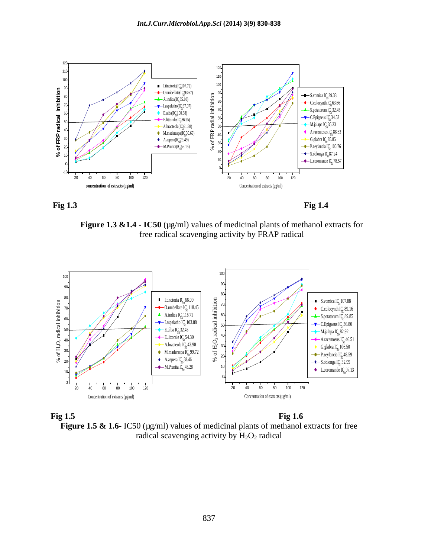



**Figure 1.3 &1.4 - IC50** ( $\mu$ g/ml) values of medicinal plants of methanol extracts for free radical scavenging activity by FRAP radical



**Fig 1.5** Fig 1.6 **Figure 1.5 & 1.6-** IC50 (µg/ml) values of medicinal plants of methanol extracts for free radical scavenging activity by  $H_2O_2$  radical